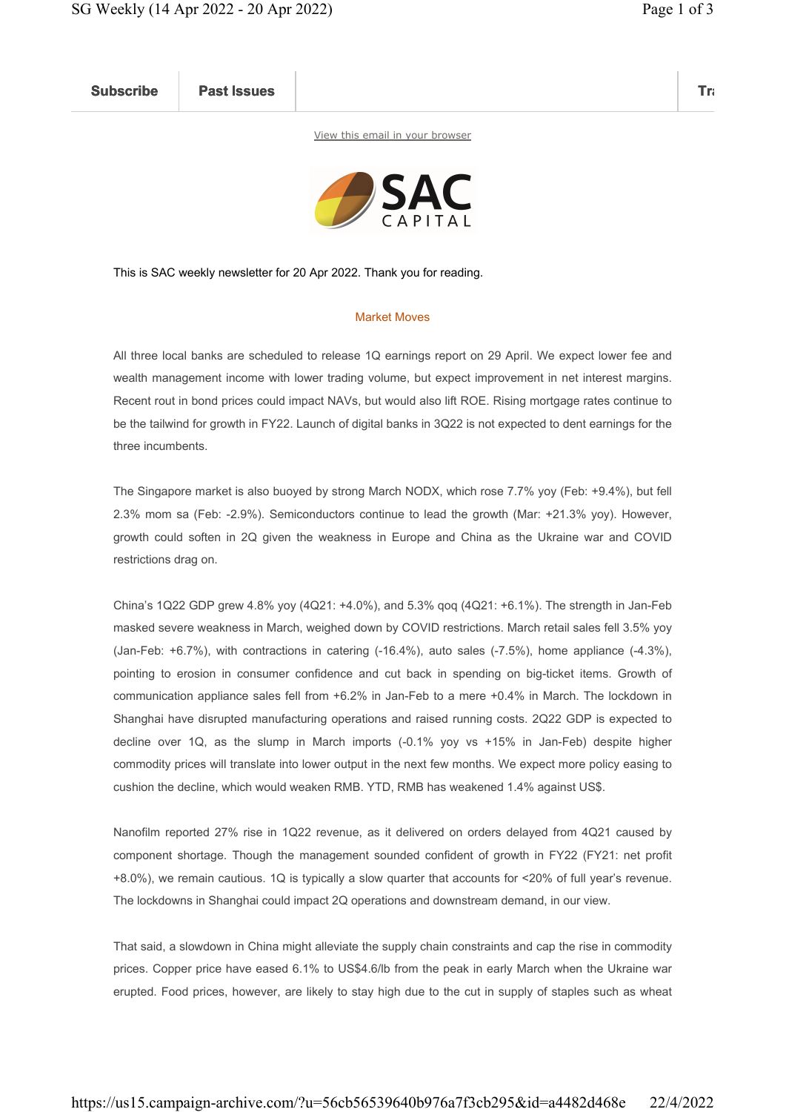Subscribe Past Issues Translate Past Issues Translate Past Issue Inc. 2014 and 2014 and 2014 and 2014 and 2014

View this email in your browser



This is SAC weekly newsletter for 20 Apr 2022. Thank you for reading.

## Market Moves

All three local banks are scheduled to release 1Q earnings report on 29 April. We expect lower fee and wealth management income with lower trading volume, but expect improvement in net interest margins. Recent rout in bond prices could impact NAVs, but would also lift ROE. Rising mortgage rates continue to be the tailwind for growth in FY22. Launch of digital banks in 3Q22 is not expected to dent earnings for the three incumbents.

The Singapore market is also buoyed by strong March NODX, which rose 7.7% yoy (Feb: +9.4%), but fell 2.3% mom sa (Feb: -2.9%). Semiconductors continue to lead the growth (Mar: +21.3% yoy). However, growth could soften in 2Q given the weakness in Europe and China as the Ukraine war and COVID restrictions drag on.

China's 1Q22 GDP grew 4.8% yoy (4Q21: +4.0%), and 5.3% qoq (4Q21: +6.1%). The strength in Jan-Feb masked severe weakness in March, weighed down by COVID restrictions. March retail sales fell 3.5% yoy (Jan-Feb: +6.7%), with contractions in catering (-16.4%), auto sales (-7.5%), home appliance (-4.3%), pointing to erosion in consumer confidence and cut back in spending on big-ticket items. Growth of communication appliance sales fell from +6.2% in Jan-Feb to a mere +0.4% in March. The lockdown in Shanghai have disrupted manufacturing operations and raised running costs. 2Q22 GDP is expected to decline over 1Q, as the slump in March imports (-0.1% yoy vs +15% in Jan-Feb) despite higher commodity prices will translate into lower output in the next few months. We expect more policy easing to cushion the decline, which would weaken RMB. YTD, RMB has weakened 1.4% against US\$.

Nanofilm reported 27% rise in 1Q22 revenue, as it delivered on orders delayed from 4Q21 caused by component shortage. Though the management sounded confident of growth in FY22 (FY21: net profit +8.0%), we remain cautious. 1Q is typically a slow quarter that accounts for <20% of full year's revenue. The lockdowns in Shanghai could impact 2Q operations and downstream demand, in our view.

That said, a slowdown in China might alleviate the supply chain constraints and cap the rise in commodity prices. Copper price have eased 6.1% to US\$4.6/lb from the peak in early March when the Ukraine war erupted. Food prices, however, are likely to stay high due to the cut in supply of staples such as wheat